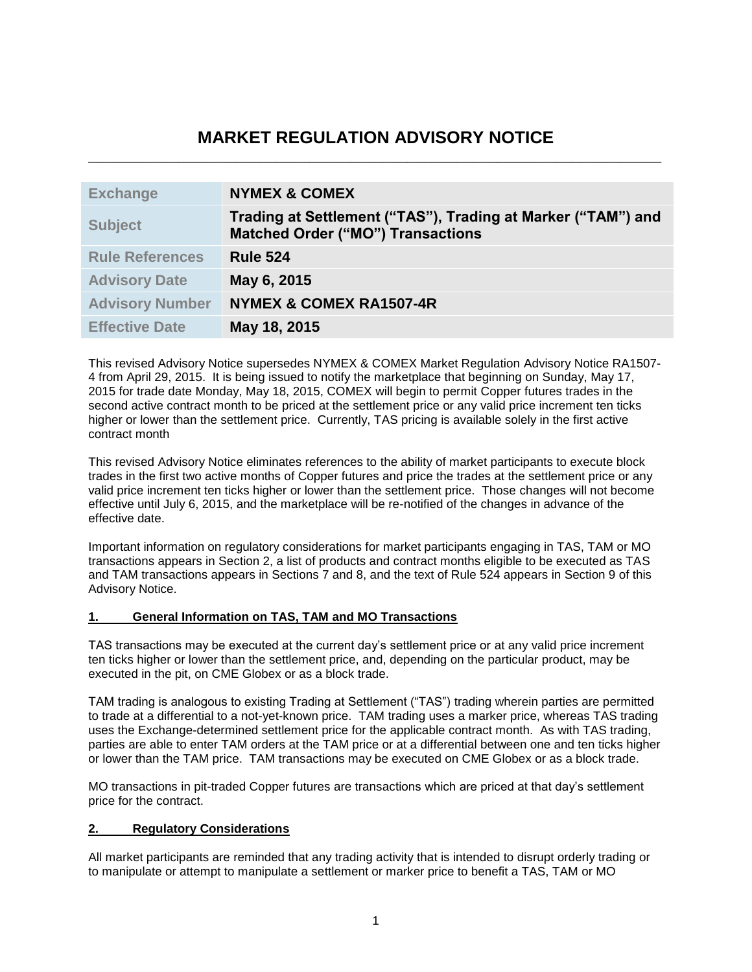# **MARKET REGULATION ADVISORY NOTICE \_\_\_\_\_\_\_\_\_\_\_\_\_\_\_\_\_\_\_\_\_\_\_\_\_\_\_\_\_\_\_\_\_\_\_\_\_\_\_\_\_\_\_\_\_\_\_\_\_\_\_\_\_\_\_\_\_\_\_\_\_\_\_\_\_\_\_\_\_\_**

| <b>Exchange</b>        | <b>NYMEX &amp; COMEX</b>                                                                                 |
|------------------------|----------------------------------------------------------------------------------------------------------|
| <b>Subject</b>         | Trading at Settlement ("TAS"), Trading at Marker ("TAM") and<br><b>Matched Order ("MO") Transactions</b> |
| <b>Rule References</b> | <b>Rule 524</b>                                                                                          |
| <b>Advisory Date</b>   | May 6, 2015                                                                                              |
| <b>Advisory Number</b> | <b>NYMEX &amp; COMEX RA1507-4R</b>                                                                       |
| <b>Effective Date</b>  | May 18, 2015                                                                                             |

This revised Advisory Notice supersedes NYMEX & COMEX Market Regulation Advisory Notice RA1507- 4 from April 29, 2015. It is being issued to notify the marketplace that beginning on Sunday, May 17, 2015 for trade date Monday, May 18, 2015, COMEX will begin to permit Copper futures trades in the second active contract month to be priced at the settlement price or any valid price increment ten ticks higher or lower than the settlement price. Currently, TAS pricing is available solely in the first active contract month

This revised Advisory Notice eliminates references to the ability of market participants to execute block trades in the first two active months of Copper futures and price the trades at the settlement price or any valid price increment ten ticks higher or lower than the settlement price. Those changes will not become effective until July 6, 2015, and the marketplace will be re-notified of the changes in advance of the effective date.

Important information on regulatory considerations for market participants engaging in TAS, TAM or MO transactions appears in Section 2, a list of products and contract months eligible to be executed as TAS and TAM transactions appears in Sections 7 and 8, and the text of Rule 524 appears in Section 9 of this Advisory Notice.

### **1. General Information on TAS, TAM and MO Transactions**

TAS transactions may be executed at the current day's settlement price or at any valid price increment ten ticks higher or lower than the settlement price, and, depending on the particular product, may be executed in the pit, on CME Globex or as a block trade.

TAM trading is analogous to existing Trading at Settlement ("TAS") trading wherein parties are permitted to trade at a differential to a not-yet-known price. TAM trading uses a marker price, whereas TAS trading uses the Exchange-determined settlement price for the applicable contract month. As with TAS trading, parties are able to enter TAM orders at the TAM price or at a differential between one and ten ticks higher or lower than the TAM price. TAM transactions may be executed on CME Globex or as a block trade.

MO transactions in pit-traded Copper futures are transactions which are priced at that day's settlement price for the contract.

### **2. Regulatory Considerations**

All market participants are reminded that any trading activity that is intended to disrupt orderly trading or to manipulate or attempt to manipulate a settlement or marker price to benefit a TAS, TAM or MO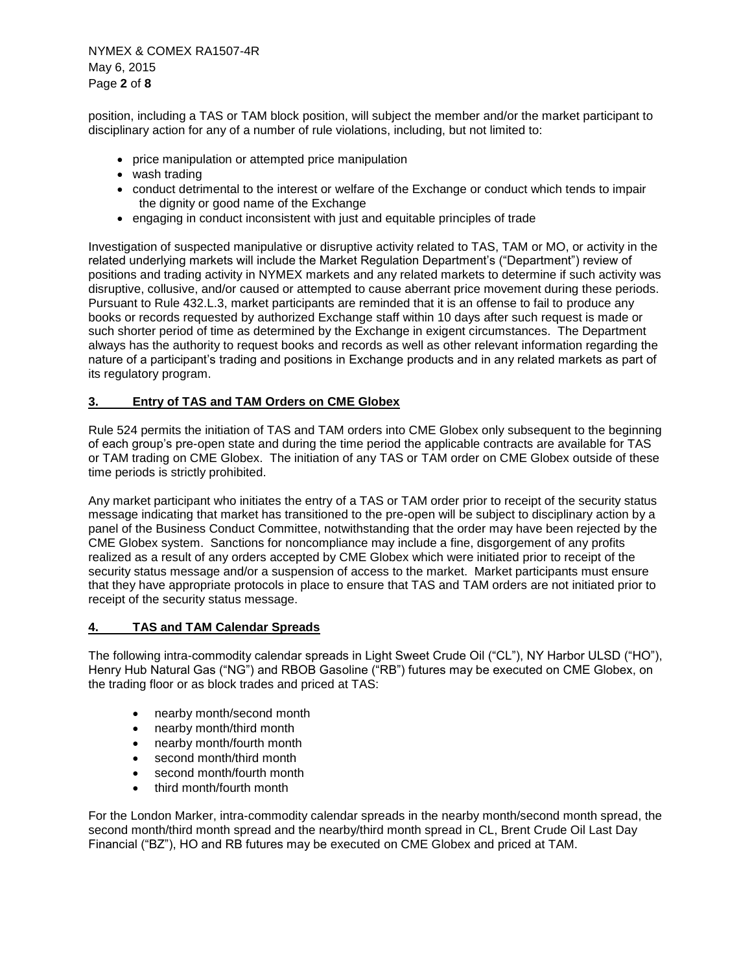NYMEX & COMEX RA1507-4R May 6, 2015 Page **2** of **8**

position, including a TAS or TAM block position, will subject the member and/or the market participant to disciplinary action for any of a number of rule violations, including, but not limited to:

- price manipulation or attempted price manipulation
- wash trading
- conduct detrimental to the interest or welfare of the Exchange or conduct which tends to impair the dignity or good name of the Exchange
- engaging in conduct inconsistent with just and equitable principles of trade

Investigation of suspected manipulative or disruptive activity related to TAS, TAM or MO, or activity in the related underlying markets will include the Market Regulation Department's ("Department") review of positions and trading activity in NYMEX markets and any related markets to determine if such activity was disruptive, collusive, and/or caused or attempted to cause aberrant price movement during these periods. Pursuant to Rule 432.L.3, market participants are reminded that it is an offense to fail to produce any books or records requested by authorized Exchange staff within 10 days after such request is made or such shorter period of time as determined by the Exchange in exigent circumstances. The Department always has the authority to request books and records as well as other relevant information regarding the nature of a participant's trading and positions in Exchange products and in any related markets as part of its regulatory program.

### **3. Entry of TAS and TAM Orders on CME Globex**

Rule 524 permits the initiation of TAS and TAM orders into CME Globex only subsequent to the beginning of each group's pre-open state and during the time period the applicable contracts are available for TAS or TAM trading on CME Globex. The initiation of any TAS or TAM order on CME Globex outside of these time periods is strictly prohibited.

Any market participant who initiates the entry of a TAS or TAM order prior to receipt of the security status message indicating that market has transitioned to the pre-open will be subject to disciplinary action by a panel of the Business Conduct Committee, notwithstanding that the order may have been rejected by the CME Globex system. Sanctions for noncompliance may include a fine, disgorgement of any profits realized as a result of any orders accepted by CME Globex which were initiated prior to receipt of the security status message and/or a suspension of access to the market. Market participants must ensure that they have appropriate protocols in place to ensure that TAS and TAM orders are not initiated prior to receipt of the security status message.

### **4. TAS and TAM Calendar Spreads**

The following intra-commodity calendar spreads in Light Sweet Crude Oil ("CL"), NY Harbor ULSD ("HO"), Henry Hub Natural Gas ("NG") and RBOB Gasoline ("RB") futures may be executed on CME Globex, on the trading floor or as block trades and priced at TAS:

- nearby month/second month
- nearby month/third month
- nearby month/fourth month
- second month/third month
- second month/fourth month
- third month/fourth month

For the London Marker, intra-commodity calendar spreads in the nearby month/second month spread, the second month/third month spread and the nearby/third month spread in CL, Brent Crude Oil Last Day Financial ("BZ"), HO and RB futures may be executed on CME Globex and priced at TAM.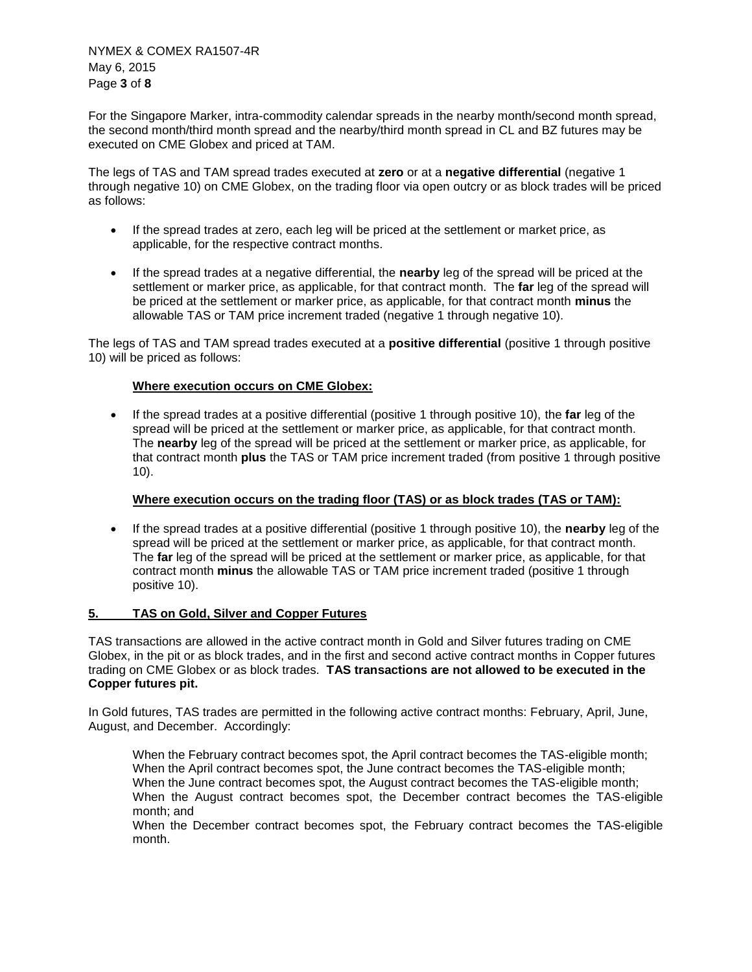NYMEX & COMEX RA1507-4R May 6, 2015 Page **3** of **8**

For the Singapore Marker, intra-commodity calendar spreads in the nearby month/second month spread, the second month/third month spread and the nearby/third month spread in CL and BZ futures may be executed on CME Globex and priced at TAM.

The legs of TAS and TAM spread trades executed at **zero** or at a **negative differential** (negative 1 through negative 10) on CME Globex, on the trading floor via open outcry or as block trades will be priced as follows:

- If the spread trades at zero, each leg will be priced at the settlement or market price, as applicable, for the respective contract months.
- If the spread trades at a negative differential, the **nearby** leg of the spread will be priced at the settlement or marker price, as applicable, for that contract month. The **far** leg of the spread will be priced at the settlement or marker price, as applicable, for that contract month **minus** the allowable TAS or TAM price increment traded (negative 1 through negative 10).

The legs of TAS and TAM spread trades executed at a **positive differential** (positive 1 through positive 10) will be priced as follows:

### **Where execution occurs on CME Globex:**

 If the spread trades at a positive differential (positive 1 through positive 10), the **far** leg of the spread will be priced at the settlement or marker price, as applicable, for that contract month. The **nearby** leg of the spread will be priced at the settlement or marker price, as applicable, for that contract month **plus** the TAS or TAM price increment traded (from positive 1 through positive 10).

### **Where execution occurs on the trading floor (TAS) or as block trades (TAS or TAM):**

 If the spread trades at a positive differential (positive 1 through positive 10), the **nearby** leg of the spread will be priced at the settlement or marker price, as applicable, for that contract month. The **far** leg of the spread will be priced at the settlement or marker price, as applicable, for that contract month **minus** the allowable TAS or TAM price increment traded (positive 1 through positive 10).

### **5. TAS on Gold, Silver and Copper Futures**

TAS transactions are allowed in the active contract month in Gold and Silver futures trading on CME Globex, in the pit or as block trades, and in the first and second active contract months in Copper futures trading on CME Globex or as block trades. **TAS transactions are not allowed to be executed in the Copper futures pit.**

In Gold futures, TAS trades are permitted in the following active contract months: February, April, June, August, and December. Accordingly:

When the February contract becomes spot, the April contract becomes the TAS-eligible month; When the April contract becomes spot, the June contract becomes the TAS-eligible month; When the June contract becomes spot, the August contract becomes the TAS-eligible month; When the August contract becomes spot, the December contract becomes the TAS-eligible month; and

When the December contract becomes spot, the February contract becomes the TAS-eligible month.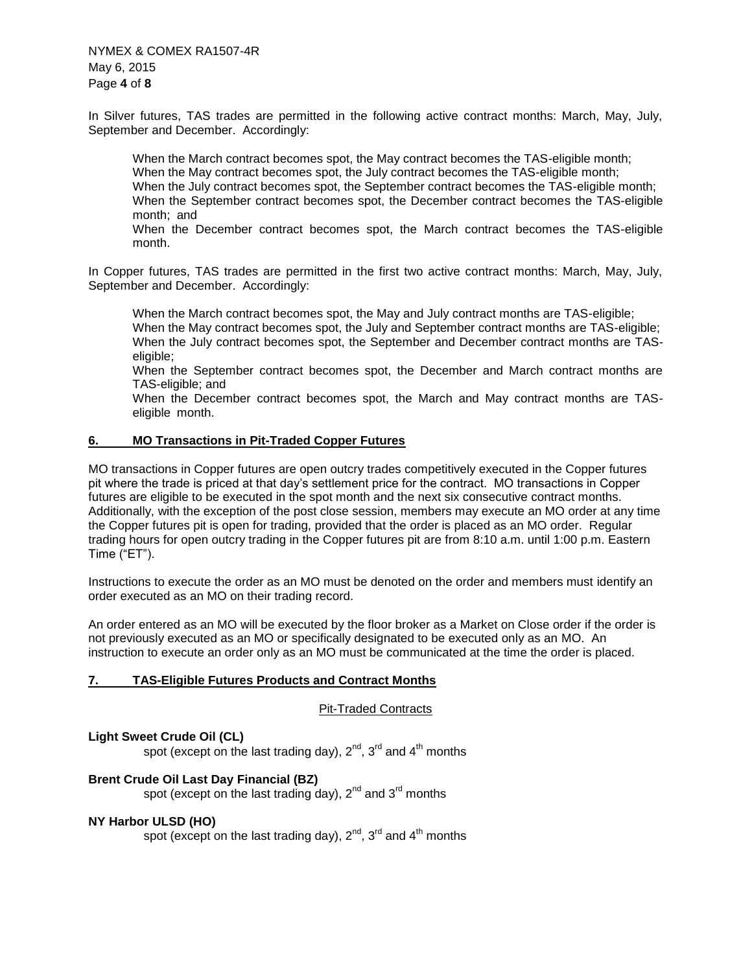NYMEX & COMEX RA1507-4R May 6, 2015 Page **4** of **8**

In Silver futures, TAS trades are permitted in the following active contract months: March, May, July, September and December. Accordingly:

When the March contract becomes spot, the May contract becomes the TAS-eligible month; When the May contract becomes spot, the July contract becomes the TAS-eligible month; When the July contract becomes spot, the September contract becomes the TAS-eligible month; When the September contract becomes spot, the December contract becomes the TAS-eligible month; and

When the December contract becomes spot, the March contract becomes the TAS-eligible month.

In Copper futures, TAS trades are permitted in the first two active contract months: March, May, July, September and December. Accordingly:

When the March contract becomes spot, the May and July contract months are TAS-eligible; When the May contract becomes spot, the July and September contract months are TAS-eligible; When the July contract becomes spot, the September and December contract months are TASeligible;

When the September contract becomes spot, the December and March contract months are TAS-eligible; and

When the December contract becomes spot, the March and May contract months are TASeligible month.

### **6. MO Transactions in Pit-Traded Copper Futures**

MO transactions in Copper futures are open outcry trades competitively executed in the Copper futures pit where the trade is priced at that day's settlement price for the contract. MO transactions in Copper futures are eligible to be executed in the spot month and the next six consecutive contract months. Additionally, with the exception of the post close session, members may execute an MO order at any time the Copper futures pit is open for trading, provided that the order is placed as an MO order. Regular trading hours for open outcry trading in the Copper futures pit are from 8:10 a.m. until 1:00 p.m. Eastern Time ("ET").

Instructions to execute the order as an MO must be denoted on the order and members must identify an order executed as an MO on their trading record.

An order entered as an MO will be executed by the floor broker as a Market on Close order if the order is not previously executed as an MO or specifically designated to be executed only as an MO. An instruction to execute an order only as an MO must be communicated at the time the order is placed.

### **7. TAS-Eligible Futures Products and Contract Months**

Pit-Traded Contracts

### **Light Sweet Crude Oil (CL)**

spot (except on the last trading day),  $2^{nd}$ ,  $3^{rd}$  and  $4^{th}$  months

### **Brent Crude Oil Last Day Financial (BZ)**

spot (except on the last trading day),  $2^{nd}$  and  $3^{rd}$  months

### **NY Harbor ULSD (HO)**

spot (except on the last trading day),  $2^{nd}$ ,  $3^{rd}$  and  $4^{th}$  months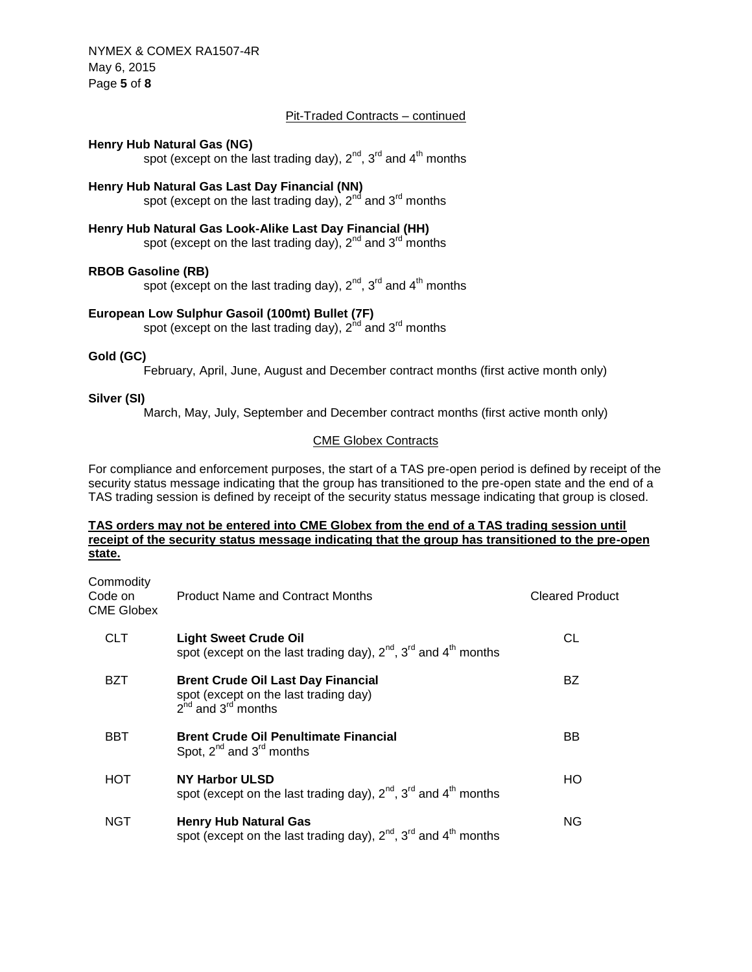NYMEX & COMEX RA1507-4R May 6, 2015 Page **5** of **8**

### Pit-Traded Contracts – continued

#### **Henry Hub Natural Gas (NG)**

spot (except on the last trading day),  $2^{nd}$ ,  $3^{rd}$  and  $4^{th}$  months

# **Henry Hub Natural Gas Last Day Financial (NN)**

spot (except on the last trading day),  $2^{nd}$  and  $3^{rd}$  months

# **Henry Hub Natural Gas Look-Alike Last Day Financial (HH)**

spot (except on the last trading day),  $2^{nd}$  and  $3^{rd}$  months

### **RBOB Gasoline (RB)**

spot (except on the last trading day),  $2^{nd}$ ,  $3^{rd}$  and  $4^{th}$  months

# **European Low Sulphur Gasoil (100mt) Bullet (7F)**

spot (except on the last trading day),  $2<sup>nd</sup>$  and  $3<sup>rd</sup>$  months

### **Gold (GC)**

February, April, June, August and December contract months (first active month only)

#### **Silver (SI)**

March, May, July, September and December contract months (first active month only)

### CME Globex Contracts

For compliance and enforcement purposes, the start of a TAS pre-open period is defined by receipt of the security status message indicating that the group has transitioned to the pre-open state and the end of a TAS trading session is defined by receipt of the security status message indicating that group is closed.

### **TAS orders may not be entered into CME Globex from the end of a TAS trading session until receipt of the security status message indicating that the group has transitioned to the pre-open state.**

| Commodity<br>Code on<br>CME Globex | <b>Product Name and Contract Months</b>                                                                            | <b>Cleared Product</b> |
|------------------------------------|--------------------------------------------------------------------------------------------------------------------|------------------------|
| CLT.                               | <b>Light Sweet Crude Oil</b><br>spot (except on the last trading day), $2^{nd}$ , $3^{rd}$ and $4^{th}$ months     | CL                     |
| BZT                                | <b>Brent Crude Oil Last Day Financial</b><br>spot (except on the last trading day)<br>$2^{nd}$ and $3^{rd}$ months | BZ                     |
| BBT                                | <b>Brent Crude Oil Penultimate Financial</b><br>Spot, $2^{nd}$ and $3^{rd}$ months                                 | ВB                     |
| HOT                                | <b>NY Harbor ULSD</b><br>spot (except on the last trading day), $2^{nd}$ , $3^{rd}$ and $4^{th}$ months            | HO                     |
| NGT                                | <b>Henry Hub Natural Gas</b><br>spot (except on the last trading day), $2^{nd}$ , $3^{rd}$ and $4^{th}$ months     | ΝG                     |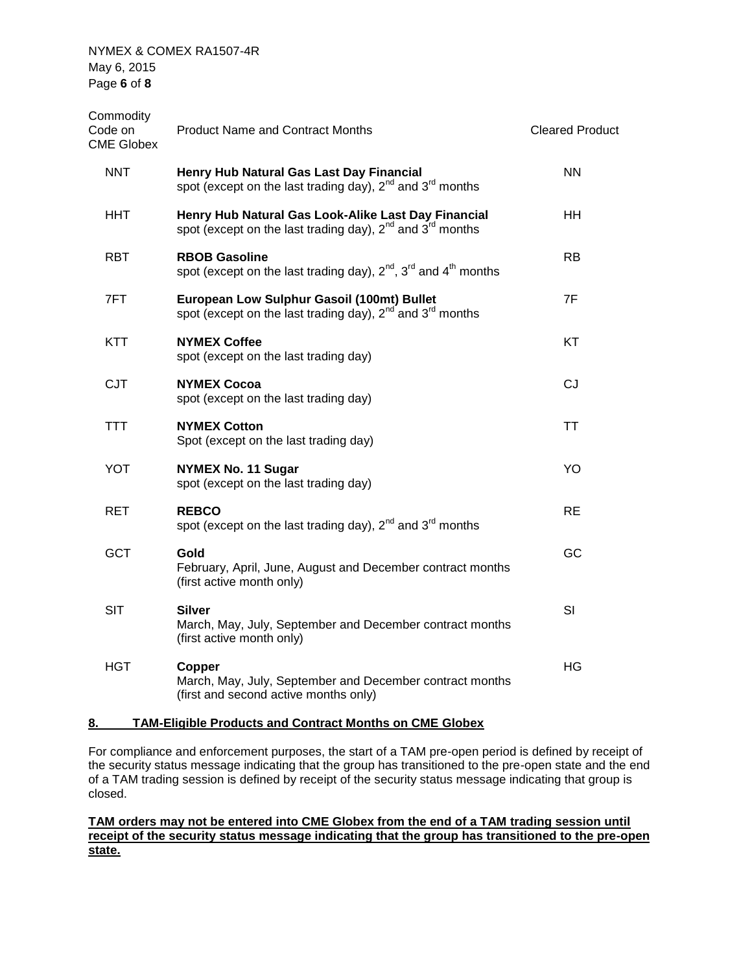NYMEX & COMEX RA1507-4R May 6, 2015 Page **6** of **8**

| Commodity<br>Code on<br><b>CME Globex</b> | <b>Product Name and Contract Months</b>                                                                                         | <b>Cleared Product</b> |
|-------------------------------------------|---------------------------------------------------------------------------------------------------------------------------------|------------------------|
| <b>NNT</b>                                | Henry Hub Natural Gas Last Day Financial<br>spot (except on the last trading day), $2^{nd}$ and $3^{rd}$ months                 | <b>NN</b>              |
| HHT.                                      | Henry Hub Natural Gas Look-Alike Last Day Financial<br>spot (except on the last trading day), $2^{nd}$ and $3^{rd}$ months      | HH.                    |
| <b>RBT</b>                                | <b>RBOB Gasoline</b><br>spot (except on the last trading day), $2^{nd}$ , $3^{rd}$ and $4^{th}$ months                          | RB                     |
| 7FT                                       | European Low Sulphur Gasoil (100mt) Bullet<br>spot (except on the last trading day), 2 <sup>nd</sup> and 3 <sup>rd</sup> months | 7F                     |
| <b>KTT</b>                                | <b>NYMEX Coffee</b><br>spot (except on the last trading day)                                                                    | KT                     |
| <b>CJT</b>                                | <b>NYMEX Cocoa</b><br>spot (except on the last trading day)                                                                     | <b>CJ</b>              |
| <b>TTT</b>                                | <b>NYMEX Cotton</b><br>Spot (except on the last trading day)                                                                    | TT                     |
| <b>YOT</b>                                | <b>NYMEX No. 11 Sugar</b><br>spot (except on the last trading day)                                                              | YO                     |
| <b>RET</b>                                | <b>REBCO</b><br>spot (except on the last trading day), $2^{nd}$ and $3^{rd}$ months                                             | <b>RE</b>              |
| <b>GCT</b>                                | Gold<br>February, April, June, August and December contract months<br>(first active month only)                                 | GC                     |
| <b>SIT</b>                                | Silver<br>March, May, July, September and December contract months<br>(first active month only)                                 | SI                     |
| HGT                                       | Copper<br>March, May, July, September and December contract months<br>(first and second active months only)                     | HG.                    |
|                                           |                                                                                                                                 |                        |

### **8. TAM-Eligible Products and Contract Months on CME Globex**

For compliance and enforcement purposes, the start of a TAM pre-open period is defined by receipt of the security status message indicating that the group has transitioned to the pre-open state and the end of a TAM trading session is defined by receipt of the security status message indicating that group is closed.

### **TAM orders may not be entered into CME Globex from the end of a TAM trading session until receipt of the security status message indicating that the group has transitioned to the pre-open state.**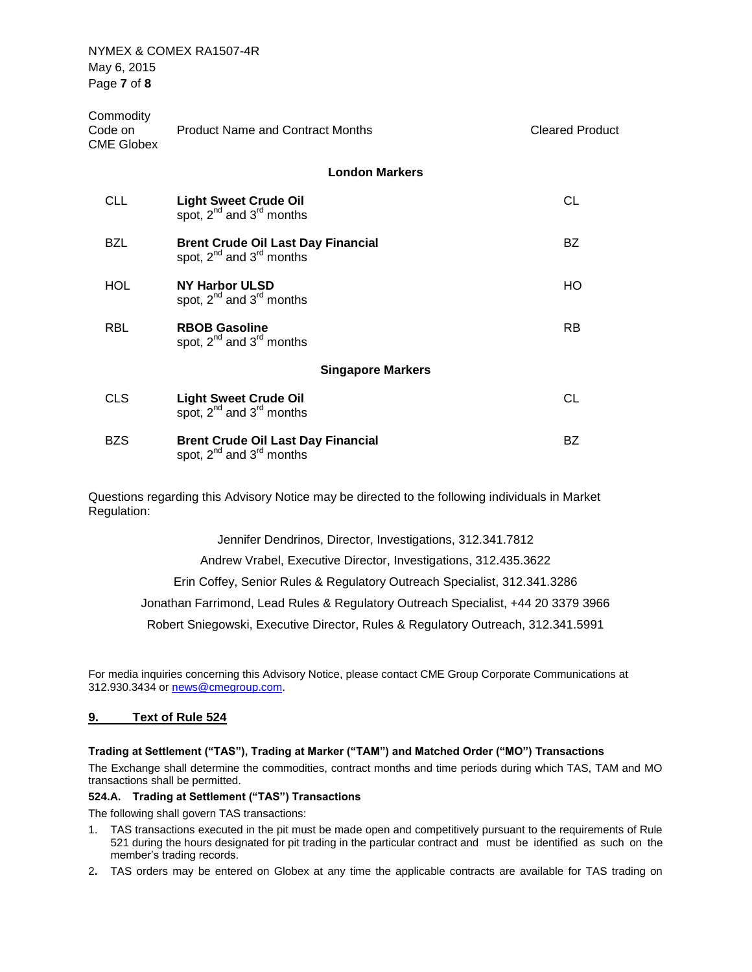NYMEX & COMEX RA1507-4R May 6, 2015 Page **7** of **8**

| Commodity<br>Code on<br><b>CME Globex</b> | <b>Product Name and Contract Months</b>                                          | <b>Cleared Product</b> |
|-------------------------------------------|----------------------------------------------------------------------------------|------------------------|
|                                           | <b>London Markers</b>                                                            |                        |
| CLL.                                      | <b>Light Sweet Crude Oil</b><br>spot, 2 <sup>nd</sup> and 3 <sup>rd</sup> months | CL                     |
| <b>BZL</b>                                | <b>Brent Crude Oil Last Day Financial</b><br>spot, $2^{nd}$ and $3^{rd}$ months  | BZ.                    |
| <b>HOL</b>                                | <b>NY Harbor ULSD</b><br>spot, $2^{nd}$ and $3^{rd}$ months                      | HO                     |
| <b>RBL</b>                                | <b>RBOB Gasoline</b><br>spot, $2^{nd}$ and $3^{rd}$ months                       | <b>RB</b>              |
|                                           | <b>Singapore Markers</b>                                                         |                        |
| <b>CLS</b>                                | <b>Light Sweet Crude Oil</b><br>spot, $2^{nd}$ and $3^{rd}$ months               | CL                     |
| <b>BZS</b>                                | <b>Brent Crude Oil Last Day Financial</b><br>spot, $2^{nd}$ and $3^{rd}$ months  | <b>BZ</b>              |

Questions regarding this Advisory Notice may be directed to the following individuals in Market Regulation:

Jennifer Dendrinos, Director, Investigations, 312.341.7812

Andrew Vrabel, Executive Director, Investigations, 312.435.3622

Erin Coffey, Senior Rules & Regulatory Outreach Specialist, 312.341.3286

Jonathan Farrimond, Lead Rules & Regulatory Outreach Specialist, +44 20 3379 3966

Robert Sniegowski, Executive Director, Rules & Regulatory Outreach, 312.341.5991

For media inquiries concerning this Advisory Notice, please contact CME Group Corporate Communications at 312.930.3434 or [news@cmegroup.com.](mailto:news@cmegroup.com)

#### **9. Text of Rule 524**

#### **Trading at Settlement ("TAS"), Trading at Marker ("TAM") and Matched Order ("MO") Transactions**

The Exchange shall determine the commodities, contract months and time periods during which TAS, TAM and MO transactions shall be permitted.

#### **524.A. Trading at Settlement ("TAS") Transactions**

The following shall govern TAS transactions:

- 1. TAS transactions executed in the pit must be made open and competitively pursuant to the requirements of Rule 521 during the hours designated for pit trading in the particular contract and must be identified as such on the member's trading records.
- 2**.** TAS orders may be entered on Globex at any time the applicable contracts are available for TAS trading on